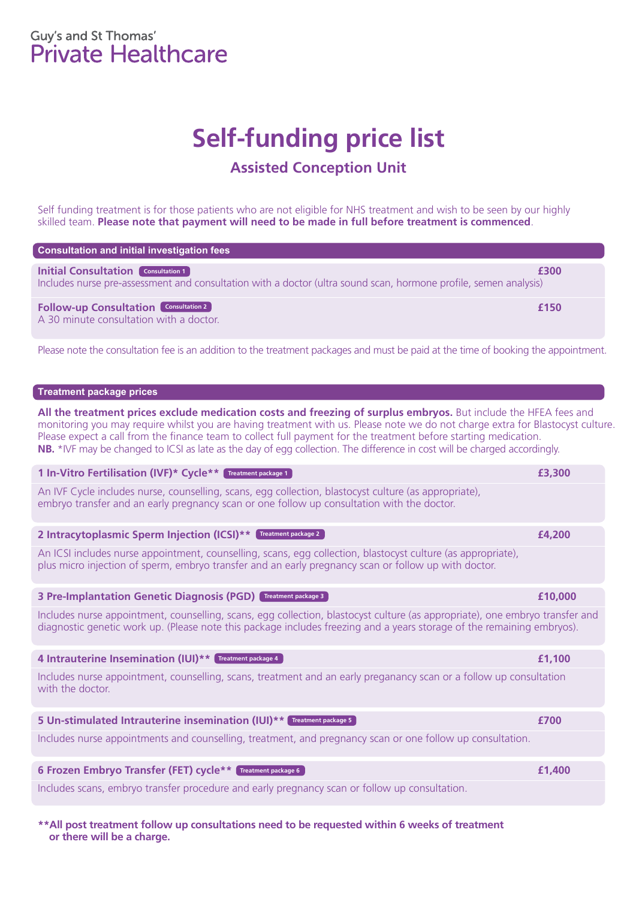# Guy's and St Thomas'<br>Private Healthcare

# **Self-funding price list**

## **Assisted Conception Unit**

Self funding treatment is for those patients who are not eligible for NHS treatment and wish to be seen by our highly skilled team. **Please note that payment will need to be made in full before treatment is commenced**.

| Consultation and initial investigation fees                                                                                                                    |      |
|----------------------------------------------------------------------------------------------------------------------------------------------------------------|------|
| <b>Initial Consultation Consultation 1</b><br>Includes nurse pre-assessment and consultation with a doctor (ultra sound scan, hormone profile, semen analysis) | £300 |
| <b>Follow-up Consultation</b> Consultation 2<br>A 30 minute consultation with a doctor.                                                                        | £150 |

Please note the consultation fee is an addition to the treatment packages and must be paid at the time of booking the appointment.

## **Treatment package prices**

**All the treatment prices exclude medication costs and freezing of surplus embryos.** But include the HFEA fees and monitoring you may require whilst you are having treatment with us. Please note we do not charge extra for Blastocyst culture. Please expect a call from the finance team to collect full payment for the treatment before starting medication. **NB.** \*IVF may be changed to ICSI as late as the day of egg collection. The difference in cost will be charged accordingly.

## **1 In-Vitro Fertilisation (IVF)\* Cycle\*\* £3,300 Treatment package 1**

An IVF Cycle includes nurse, counselling, scans, egg collection, blastocyst culture (as appropriate), embryo transfer and an early pregnancy scan or one follow up consultation with the doctor.

**2 Intracytoplasmic Sperm Injection (ICSI)\*\* £4,200 Treatment package 2**

An ICSI includes nurse appointment, counselling, scans, egg collection, blastocyst culture (as appropriate), plus micro injection of sperm, embryo transfer and an early pregnancy scan or follow up with doctor.

## **3 Pre-Implantation Genetic Diagnosis (PGD) £10,000 Treatment package 3**

Includes nurse appointment, counselling, scans, egg collection, blastocyst culture (as appropriate), one embryo transfer and diagnostic genetic work up. (Please note this package includes freezing and a years storage of the remaining embryos).

## **4 Intrauterine Insemination (IUI)\*\* £1,100 Treatment package 4**

Includes nurse appointment, counselling, scans, treatment and an early preganancy scan or a follow up consultation with the doctor.

## **5 Un-stimulated Intrauterine insemination (IUI)\*\* £700 Treatment package 5**

Includes nurse appointments and counselling, treatment, and pregnancy scan or one follow up consultation.

## **6 Frozen Embryo Transfer (FET) cycle\*\* £1,400 Treatment package 6**

Includes scans, embryo transfer procedure and early pregnancy scan or follow up consultation.

**\*\*All post treatment follow up consultations need to be requested within 6 weeks of treatment or there will be a charge.**